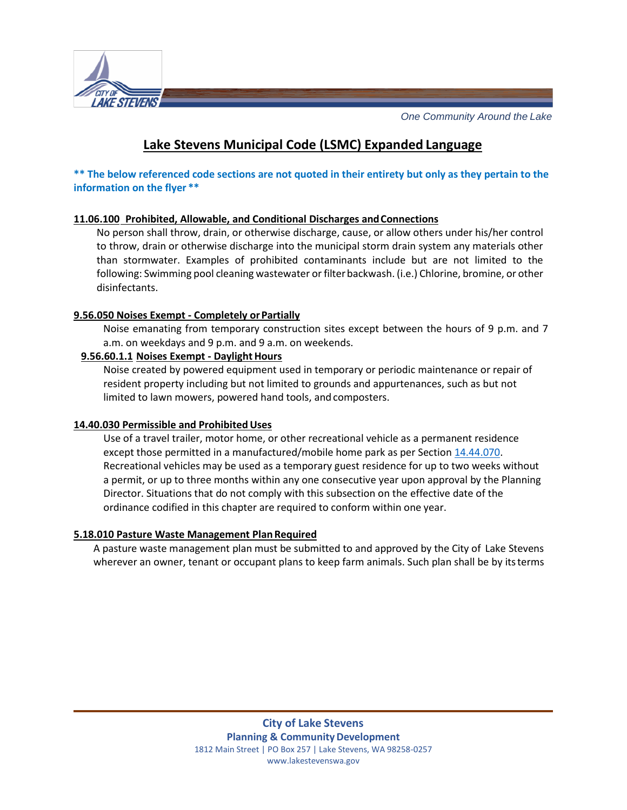

*One Community Around the Lake*

# **Lake Stevens Municipal Code (LSMC) Expanded Language**

**\*\* The below referenced code sections are not quoted in their entirety but only as they pertain to the information on the flyer \*\***

## **11.06.100 Prohibited, Allowable, and Conditional Discharges andConnections**

No person shall throw, drain, or otherwise discharge, cause, or allow others under his/her control to throw, drain or otherwise discharge into the municipal storm drain system any materials other than stormwater. Examples of prohibited contaminants include but are not limited to the following: Swimming pool cleaning wastewater or filterbackwash. (i.e.) Chlorine, bromine, or other disinfectants.

#### **9.56.050 Noises Exempt - Completely orPartially**

Noise emanating from temporary construction sites except between the hours of 9 p.m. and 7 a.m. on weekdays and 9 p.m. and 9 a.m. on weekends.

#### **9.56.60.1.1 Noises Exempt - Daylight Hours**

Noise created by powered equipment used in temporary or periodic maintenance or repair of resident property including but not limited to grounds and appurtenances, such as but not limited to lawn mowers, powered hand tools, and composters.

## 14.40.030 Permissible and Prohibited Uses

Use of a travel trailer, motor home, or other recreational vehicle as a permanent residence except those permitted in a manufactured/mobile home park as per Section [14.44.070.](https://www.codepublishing.com/WA/LakeStevens/%23!/LakeStevens14/LakeStevens1444.html#14.44.070) Recreational vehicles may be used as a temporary guest residence for up to two weeks without a permit, or up to three months within any one consecutive year upon approval by the Planning Director. Situations that do not comply with this subsection on the effective date of the ordinance codified in this chapter are required to conform within one year.

#### **5.18.010 Pasture Waste Management PlanRequired**

A pasture waste management plan must be submitted to and approved by the City of Lake Stevens wherever an owner, tenant or occupant plans to keep farm animals. Such plan shall be by itsterms